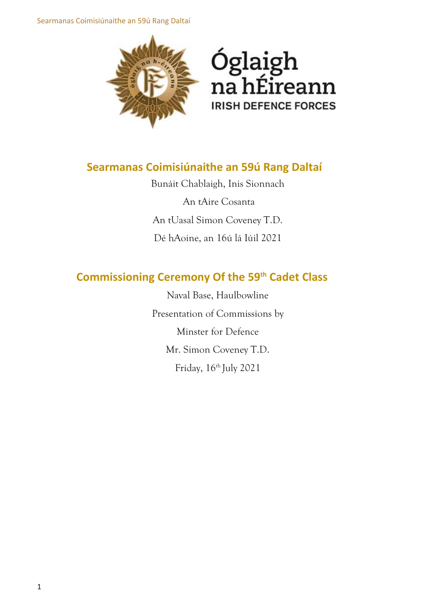Searmanas Coimisiúnaithe an 59ú Rang Daltaí





# **Searmanas Coimisiúnaithe an 59ú Rang Daltaí**

Bunáit Chablaigh, Inis Sionnach An tAire Cosanta An tUasal Simon Coveney T.D. Dé hAoine, an 16ú lá Iúil 2021

# **Commissioning Ceremony Of the 59th Cadet Class**

Naval Base, Haulbowline Presentation of Commissions by Minster for Defence Mr. Simon Coveney T.D. Friday, 16<sup>th</sup> July 2021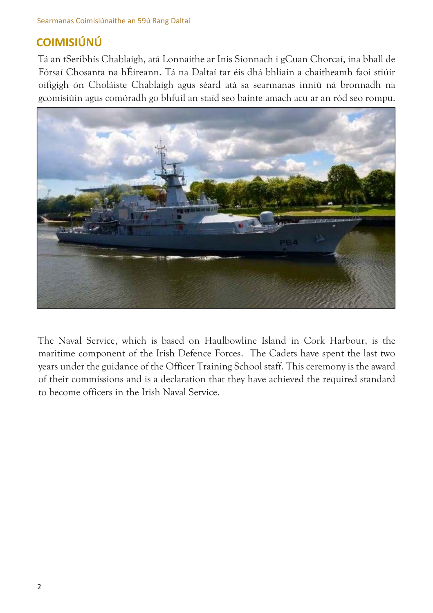# **COIMISIÚNÚ**

Tá an tSeribhís Chablaigh, atá Lonnaithe ar Inis Sionnach i gCuan Chorcaí, ina bhall de Fórsaí Chosanta na hÉireann. Tá na Daltaí tar éis dhá bhliain a chaitheamh faoi stiúir oifigigh ón Choláiste Chablaigh agus séard atá sa searmanas inniú ná bronnadh na gcomisiúin agus comóradh go bhfuil an staíd seo bainte amach acu ar an ród seo rompu.



The Naval Service, which is based on Haulbowline Island in Cork Harbour, is the maritime component of the Irish Defence Forces. The Cadets have spent the last two years under the guidance of the Officer Training School staff. This ceremony is the award of their commissions and is a declaration that they have achieved the required standard to become officers in the Irish Naval Service.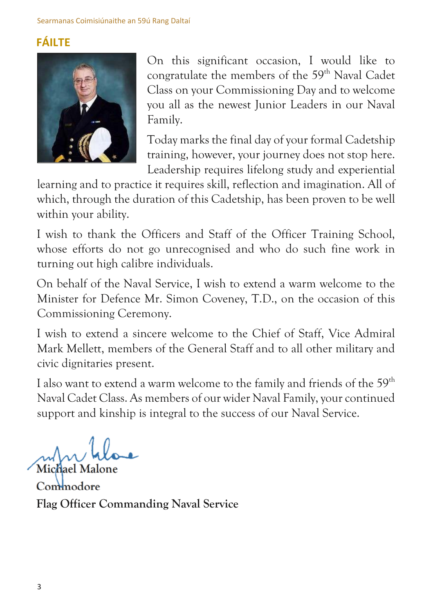# **FÁILTE**



On this significant occasion, I would like to congratulate the members of the 59<sup>th</sup> Naval Cadet Class on your Commissioning Day and to welcome you all as the newest Junior Leaders in our Naval Family.

Today marks the final day of your formal Cadetship training, however, your journey does not stop here. Leadership requires lifelong study and experiential

learning and to practice it requires skill, reflection and imagination. All of which, through the duration of this Cadetship, has been proven to be well within your ability.

I wish to thank the Officers and Staff of the Officer Training School, whose efforts do not go unrecognised and who do such fine work in turning out high calibre individuals.

On behalf of the Naval Service, I wish to extend a warm welcome to the Minister for Defence Mr. Simon Coveney, T.D., on the occasion of this Commissioning Ceremony.

I wish to extend a sincere welcome to the Chief of Staff, Vice Admiral Mark Mellett, members of the General Staff and to all other military and civic dignitaries present.

I also want to extend a warm welcome to the family and friends of the  $59<sup>th</sup>$ Naval Cadet Class. As members of our wider Naval Family, your continued support and kinship is integral to the success of our Naval Service.

**Michael Malone** 

**Commodore Flag Officer Commanding Naval Service**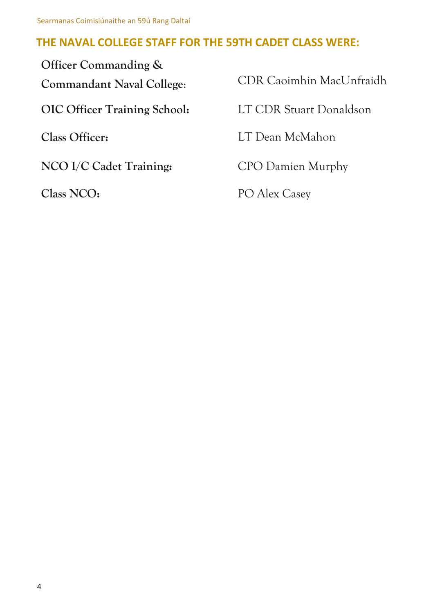# **THE NAVAL COLLEGE STAFF FOR THE 59TH CADET CLASS WERE:**

| Officer Commanding &                |                          |
|-------------------------------------|--------------------------|
| <b>Commandant Naval College:</b>    | CDR Caoimhin MacUnfraidh |
| <b>OIC Officer Training School:</b> | LT CDR Stuart Donaldson  |
| Class Officer:                      | LT Dean McMahon          |
| NCO I/C Cadet Training:             | CPO Damien Murphy        |
| Class NCO:                          | PO Alex Casey            |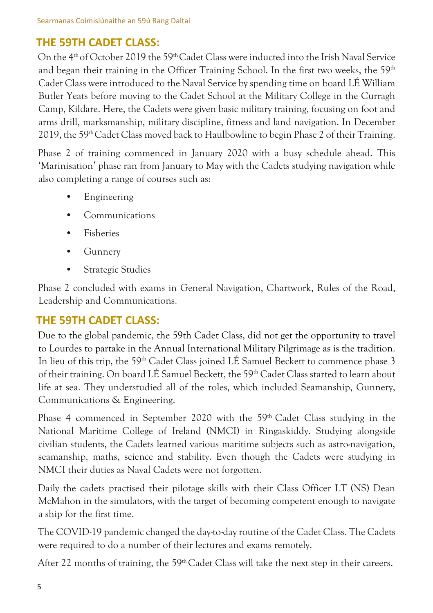## **THE 59TH CADET CLASS:**

On the  $4<sup>th</sup>$  of October 2019 the 59<sup>th</sup> Cadet Class were inducted into the Irish Naval Service and began their training in the Officer Training School. In the first two weeks, the  $59<sup>th</sup>$ Cadet Class were introduced to the Naval Service by spending time on board LÉ William Butler Yeats before moving to the Cadet School at the Military College in the Curragh Camp, Kildare. Here, the Cadets were given basic military training, focusing on foot and arms drill, marksmanship, military discipline, fitness and land navigation. In December 2019, the 59<sup>th</sup> Cadet Class moved back to Haulbowline to begin Phase 2 of their Training.

Phase 2 of training commenced in January 2020 with a busy schedule ahead. This 'Marinisation' phase ran from January to May with the Cadets studying navigation while also completing a range of courses such as:

- Engineering
- Communications
- Fisheries
- Gunnery
- Strategic Studies

Phase 2 concluded with exams in General Navigation, Chartwork, Rules of the Road, Leadership and Communications.

# **THE 59TH CADET CLASS:**

Due to the global pandemic, the 59th Cadet Class, did not get the opportunity to travel to Lourdes to partake in the Annual International Military Pilgrimage as is the tradition. In lieu of this trip, the 59<sup>th</sup> Cadet Class joined LÉ Samuel Beckett to commence phase 3 of their training. On board LÉ Samuel Beckett, the 59<sup>th</sup> Cadet Class started to learn about life at sea. They understudied all of the roles, which included Seamanship, Gunnery, Communications & Engineering.

Phase 4 commenced in September 2020 with the 59<sup>th</sup> Cadet Class studying in the National Maritime College of Ireland (NMCI) in Ringaskiddy. Studying alongside civilian students, the Cadets learned various maritime subjects such as astro-navigation, seamanship, maths, science and stability. Even though the Cadets were studying in NMCI their duties as Naval Cadets were not forgotten.

Daily the cadets practised their pilotage skills with their Class Officer LT (NS) Dean McMahon in the simulators, with the target of becoming competent enough to navigate a ship for the first time.

The COVID-19 pandemic changed the day-to-day routine of the Cadet Class. The Cadets were required to do a number of their lectures and exams remotely.

After 22 months of training, the 59<sup>th</sup> Cadet Class will take the next step in their careers.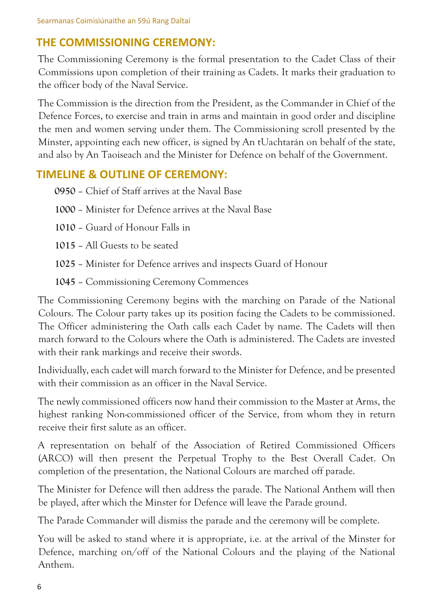## **THE COMMISSIONING CEREMONY:**

The Commissioning Ceremony is the formal presentation to the Cadet Class of their Commissions upon completion of their training as Cadets. It marks their graduation to the officer body of the Naval Service.

The Commission is the direction from the President, as the Commander in Chief of the Defence Forces, to exercise and train in arms and maintain in good order and discipline the men and women serving under them. The Commissioning scroll presented by the Minster, appointing each new officer, is signed by An tUachtarán on behalf of the state, and also by An Taoiseach and the Minister for Defence on behalf of the Government.

## **TIMELINE & OUTLINE OF CEREMONY:**

**0950** – Chief of Staff arrives at the Naval Base

**1000** – Minister for Defence arrives at the Naval Base

**1010** – Guard of Honour Falls in

**1015** – All Guests to be seated

**1025** – Minister for Defence arrives and inspects Guard of Honour

**1045** – Commissioning Ceremony Commences

The Commissioning Ceremony begins with the marching on Parade of the National Colours. The Colour party takes up its position facing the Cadets to be commissioned. The Officer administering the Oath calls each Cadet by name. The Cadets will then march forward to the Colours where the Oath is administered. The Cadets are invested with their rank markings and receive their swords.

Individually, each cadet will march forward to the Minister for Defence, and be presented with their commission as an officer in the Naval Service.

The newly commissioned officers now hand their commission to the Master at Arms, the highest ranking Non-commissioned officer of the Service, from whom they in return receive their first salute as an officer.

A representation on behalf of the Association of Retired Commissioned Officers (ARCO) will then present the Perpetual Trophy to the Best Overall Cadet. On completion of the presentation, the National Colours are marched off parade.

The Minister for Defence will then address the parade. The National Anthem will then be played, after which the Minster for Defence will leave the Parade ground.

The Parade Commander will dismiss the parade and the ceremony will be complete.

You will be asked to stand where it is appropriate, i.e. at the arrival of the Minster for Defence, marching on/off of the National Colours and the playing of the National Anthem.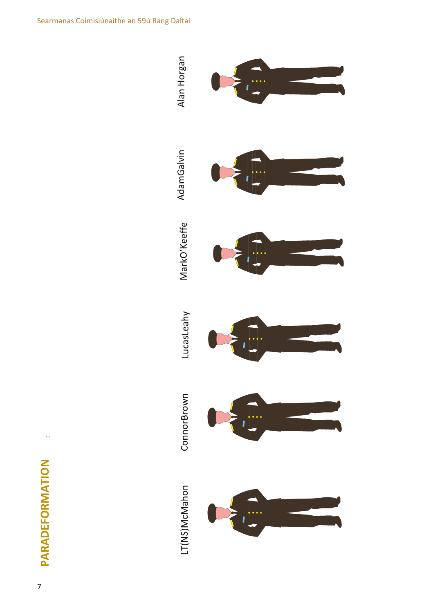$\ddot{\phantom{1}}$ 

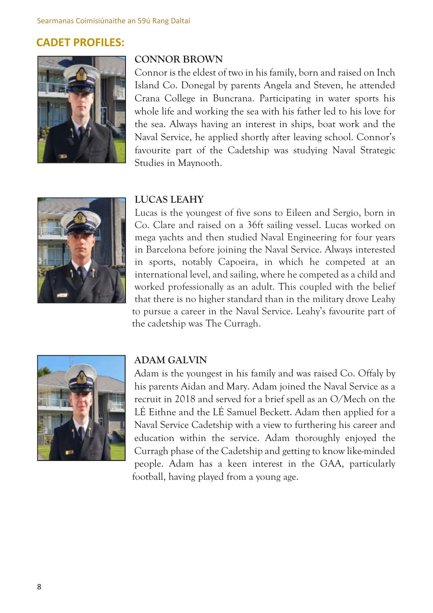### **CADET PROFILES:**



#### **CONNOR BROWN**

Connor is the eldest of two in his family, born and raised on Inch Island Co. Donegal by parents Angela and Steven, he attended Crana College in Buncrana. Participating in water sports his whole life and working the sea with his father led to his love for the sea. Always having an interest in ships, boat work and the Naval Service, he applied shortly after leaving school. Connor's favourite part of the Cadetship was studying Naval Strategic Studies in Maynooth.



#### **LUCAS LEAHY**

Lucas is the youngest of five sons to Eileen and Sergio, born in Co. Clare and raised on a 36ft sailing vessel. Lucas worked on mega yachts and then studied Naval Engineering for four years in Barcelona before joining the Naval Service. Always interested in sports, notably Capoeira, in which he competed at an international level, and sailing, where he competed as a child and worked professionally as an adult. This coupled with the belief that there is no higher standard than in the military drove Leahy to pursue a career in the Naval Service. Leahy's favourite part of the cadetship was The Curragh.



#### **ADAM GALVIN**

Adam is the youngest in his family and was raised Co. Offaly by his parents Aidan and Mary. Adam joined the Naval Service as a recruit in 2018 and served for a brief spell as an O/Mech on the LÉ Eithne and the LÉ Samuel Beckett. Adam then applied for a Naval Service Cadetship with a view to furthering his career and education within the service. Adam thoroughly enjoyed the Curragh phase of the Cadetship and getting to know like-minded people. Adam has a keen interest in the GAA, particularly football, having played from a young age.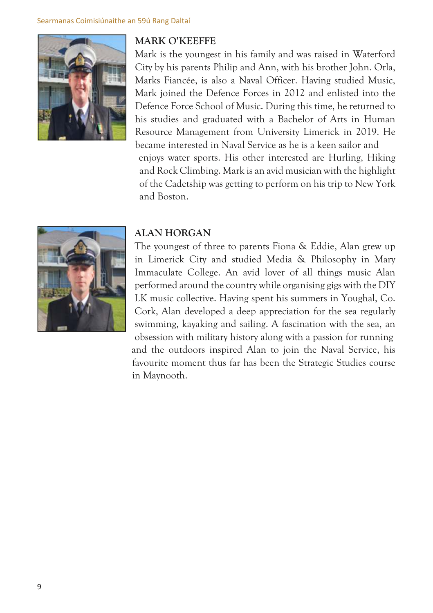

#### **MARK O'KEEFFE**

Mark is the youngest in his family and was raised in Waterford City by his parents Philip and Ann, with his brother John. Orla, Marks Fiancée, is also a Naval Officer. Having studied Music, Mark joined the Defence Forces in 2012 and enlisted into the Defence Force School of Music. During this time, he returned to his studies and graduated with a Bachelor of Arts in Human Resource Management from University Limerick in 2019. He became interested in Naval Service as he is a keen sailor and enjoys water sports. His other interested are Hurling, Hiking and Rock Climbing. Mark is an avid musician with the highlight of the Cadetship was getting to perform on his trip to New York and Boston.



### **ALAN HORGAN**

The youngest of three to parents Fiona & Eddie, Alan grew up in Limerick City and studied Media & Philosophy in Mary Immaculate College. An avid lover of all things music Alan performed around the country while organising gigs with the DIY LK music collective. Having spent his summers in Youghal, Co. Cork, Alan developed a deep appreciation for the sea regularly swimming, kayaking and sailing. A fascination with the sea, an obsession with military history along with a passion for running and the outdoors inspired Alan to join the Naval Service, his favourite moment thus far has been the Strategic Studies course in Maynooth.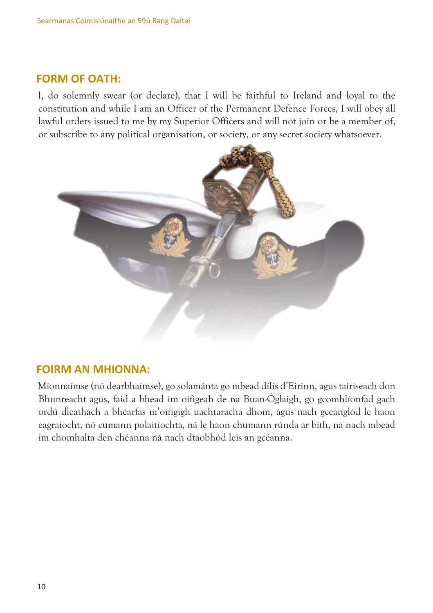#### **FORM OF OATH:**

I, do solemnly swear (or declare), that I will be faithful to Ireland and loyal to the constitution and while I am an Officer of the Permanent Defence Forces, I will obey all lawful orders issued to me by my Superior Officers and will not join or be a member of, or subscribe to any political organisation, or society, or any secret society whatsoever.



#### **FOIRM AN MHIONNA:**

Mionnaímse (nó dearbhaímse), go solamánta go mbead dílis d'Eirinn, agus tairiseach don Bhunreacht agus, faid a bhead im oifigeah de na Buan-Óglaigh, go gcomhlíonfad gach ordú dleathach a bhéarfas m'oifigigh uachtaracha dhom, agus nach gceanglód le haon eagraíocht, nó cumann polaitíochta, ná le haon chumann rúnda ar bith, ná nach mbead im chomhalta den chéanna ná nach dtaobhód leis an gcéanna.